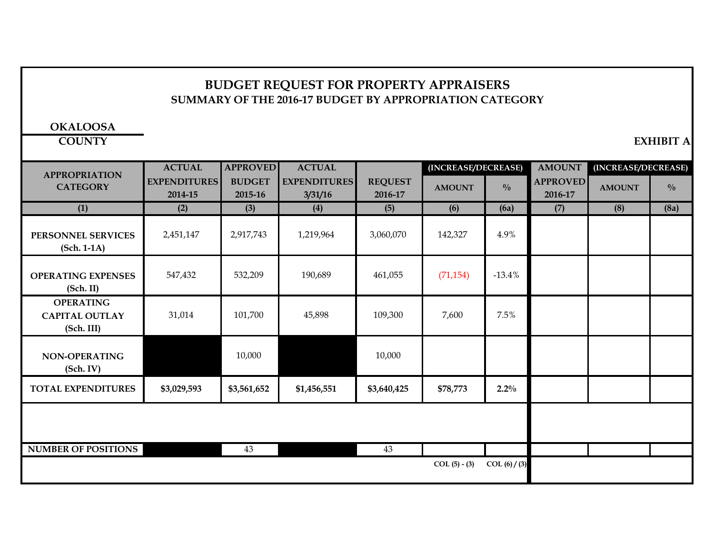### **BUDGET REQUEST FOR PROPERTY APPRAISERS SUMMARY OF THE 2016-17 BUDGET BY APPROPRIATION CATEGORY**

**OKALOOSA**

**COUNTY EXHIBIT A**

| <b>APPROPRIATION</b>                                    | <b>ACTUAL</b>                  | <b>APPROVED</b>          | <b>ACTUAL</b>                  |                           | (INCREASE/DECREASE) |               | <b>AMOUNT</b>              | (INCREASE/DECREASE) |               |
|---------------------------------------------------------|--------------------------------|--------------------------|--------------------------------|---------------------------|---------------------|---------------|----------------------------|---------------------|---------------|
| <b>CATEGORY</b>                                         | <b>EXPENDITURES</b><br>2014-15 | <b>BUDGET</b><br>2015-16 | <b>EXPENDITURES</b><br>3/31/16 | <b>REQUEST</b><br>2016-17 | <b>AMOUNT</b>       | $\frac{0}{0}$ | <b>APPROVED</b><br>2016-17 | <b>AMOUNT</b>       | $\frac{0}{0}$ |
| (1)                                                     | (2)                            | (3)                      | (4)                            | (5)                       | (6)                 | (6a)          | (7)                        | (8)                 | (8a)          |
| PERSONNEL SERVICES<br>$(Sch. 1-1A)$                     | 2,451,147                      | 2,917,743                | 1,219,964                      | 3,060,070                 | 142,327             | 4.9%          |                            |                     |               |
| <b>OPERATING EXPENSES</b><br>(Sch. II)                  | 547,432                        | 532,209                  | 190,689                        | 461,055                   | (71, 154)           | $-13.4%$      |                            |                     |               |
| <b>OPERATING</b><br><b>CAPITAL OUTLAY</b><br>(Sch. III) | 31,014                         | 101,700                  | 45,898                         | 109,300                   | 7,600               | 7.5%          |                            |                     |               |
| <b>NON-OPERATING</b><br>(Sch. IV)                       |                                | 10,000                   |                                | 10,000                    |                     |               |                            |                     |               |
| <b>TOTAL EXPENDITURES</b>                               | \$3,029,593                    | \$3,561,652              | \$1,456,551                    | \$3,640,425               | \$78,773            | $2.2\%$       |                            |                     |               |
|                                                         |                                |                          |                                |                           |                     |               |                            |                     |               |
| <b>NUMBER OF POSITIONS</b>                              |                                | 43                       |                                | 43                        |                     |               |                            |                     |               |
|                                                         |                                |                          |                                |                           | $COL(5) - (3)$      | COL (6) / (3) |                            |                     |               |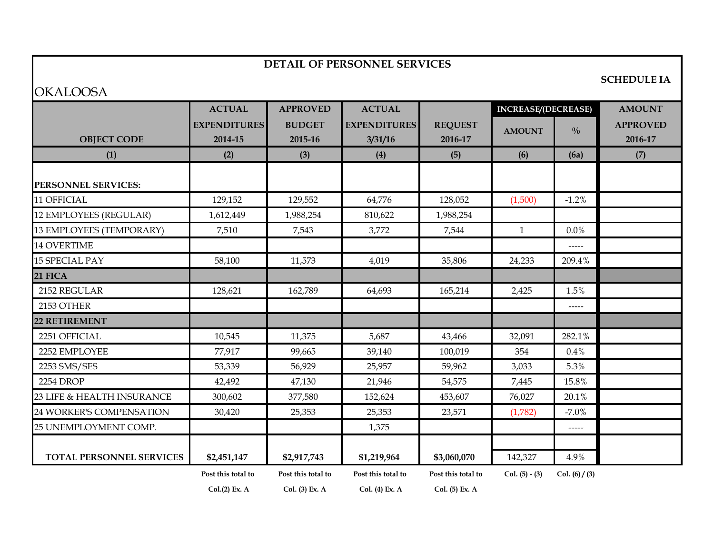#### **DETAIL OF PERSONNEL SERVICES**

# **OKALOOSA**

**SCHEDULE IA**

|                               | <b>ACTUAL</b>       | <b>APPROVED</b>    | <b>ACTUAL</b>       |                    | <b>INCREASE/(DECREASE)</b> |                                                         | <b>AMOUNT</b>   |
|-------------------------------|---------------------|--------------------|---------------------|--------------------|----------------------------|---------------------------------------------------------|-----------------|
|                               | <b>EXPENDITURES</b> | <b>BUDGET</b>      | <b>EXPENDITURES</b> | <b>REQUEST</b>     | <b>AMOUNT</b>              | $\frac{0}{0}$                                           | <b>APPROVED</b> |
| <b>OBJECT CODE</b>            | 2014-15             | 2015-16            | 3/31/16             | 2016-17            |                            |                                                         | 2016-17         |
| (1)                           | (2)                 | (3)                | (4)                 | (5)                | (6)                        | (6a)                                                    | (7)             |
| PERSONNEL SERVICES:           |                     |                    |                     |                    |                            |                                                         |                 |
| 11 OFFICIAL                   | 129,152             | 129,552            | 64,776              | 128,052            | (1,500)                    | $-1.2%$                                                 |                 |
| <b>12 EMPLOYEES (REGULAR)</b> | 1,612,449           | 1,988,254          | 810,622             | 1,988,254          |                            |                                                         |                 |
| 13 EMPLOYEES (TEMPORARY)      | 7,510               | 7,543              | 3,772               | 7,544              | $\mathbf{1}$               | 0.0%                                                    |                 |
| <b>14 OVERTIME</b>            |                     |                    |                     |                    |                            |                                                         |                 |
| <b>15 SPECIAL PAY</b>         | 58,100              | 11,573             | 4,019               | 35,806             | 24,233                     | 209.4%                                                  |                 |
| 21 FICA                       |                     |                    |                     |                    |                            |                                                         |                 |
| 2152 REGULAR                  | 128,621             | 162,789            | 64,693              | 165,214            | 2,425                      | 1.5%                                                    |                 |
| 2153 OTHER                    |                     |                    |                     |                    |                            | -----                                                   |                 |
| <b>22 RETIREMENT</b>          |                     |                    |                     |                    |                            |                                                         |                 |
| 2251 OFFICIAL                 | 10,545              | 11,375             | 5,687               | 43,466             | 32,091                     | 282.1%                                                  |                 |
| 2252 EMPLOYEE                 | 77,917              | 99,665             | 39,140              | 100,019            | 354                        | 0.4%                                                    |                 |
| 2253 SMS/SES                  | 53,339              | 56,929             | 25,957              | 59,962             | 3,033                      | 5.3%                                                    |                 |
| 2254 DROP                     | 42,492              | 47,130             | 21,946              | 54,575             | 7,445                      | 15.8%                                                   |                 |
| 23 LIFE & HEALTH INSURANCE    | 300,602             | 377,580            | 152,624             | 453,607            | 76,027                     | 20.1%                                                   |                 |
| 24 WORKER'S COMPENSATION      | 30,420              | 25,353             | 25,353              | 23,571             | (1,782)                    | $-7.0%$                                                 |                 |
| 25 UNEMPLOYMENT COMP.         |                     |                    | 1,375               |                    |                            | $\begin{tabular}{cc} - & - & - \\ \hline \end{tabular}$ |                 |
| TOTAL PERSONNEL SERVICES      | \$2,451,147         | \$2,917,743        | \$1,219,964         | \$3,060,070        | 142,327                    | 4.9%                                                    |                 |
|                               | Post this total to  | Post this total to | Post this total to  | Post this total to | Col. $(5) - (3)$           | Col. $(6) / (3)$                                        |                 |
|                               | Col.(2) Ex. A       | Col. (3) Ex. A     | Col. (4) Ex. A      | Col. (5) Ex. A     |                            |                                                         |                 |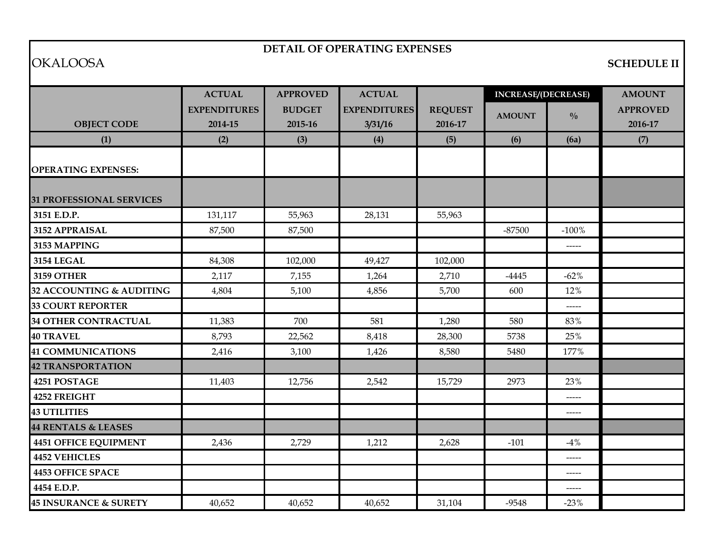### **DETAIL OF OPERATING EXPENSES**

# OKALOOSA **SCHEDULE II**

|                                  | <b>ACTUAL</b>                  | <b>APPROVED</b>          | <b>ACTUAL</b>                  |                           | <b>INCREASE/(DECREASE)</b> |               | <b>AMOUNT</b>              |
|----------------------------------|--------------------------------|--------------------------|--------------------------------|---------------------------|----------------------------|---------------|----------------------------|
| <b>OBJECT CODE</b>               | <b>EXPENDITURES</b><br>2014-15 | <b>BUDGET</b><br>2015-16 | <b>EXPENDITURES</b><br>3/31/16 | <b>REQUEST</b><br>2016-17 | <b>AMOUNT</b>              | $\frac{0}{0}$ | <b>APPROVED</b><br>2016-17 |
| (1)                              | (2)                            | (3)                      | (4)                            | (5)                       | (6)                        | (6a)          | (7)                        |
| <b>OPERATING EXPENSES:</b>       |                                |                          |                                |                           |                            |               |                            |
| <b>31 PROFESSIONAL SERVICES</b>  |                                |                          |                                |                           |                            |               |                            |
| 3151 E.D.P.                      | 131,117                        | 55,963                   | 28,131                         | 55,963                    |                            |               |                            |
| 3152 APPRAISAL                   | 87,500                         | 87,500                   |                                |                           | $-87500$                   | $-100%$       |                            |
| 3153 MAPPING                     |                                |                          |                                |                           |                            | -----         |                            |
| <b>3154 LEGAL</b>                | 84,308                         | 102,000                  | 49,427                         | 102,000                   |                            |               |                            |
| <b>3159 OTHER</b>                | 2,117                          | 7,155                    | 1,264                          | 2,710                     | $-4445$                    | $-62%$        |                            |
| 32 ACCOUNTING & AUDITING         | 4,804                          | 5,100                    | 4,856                          | 5,700                     | 600                        | 12%           |                            |
| <b>33 COURT REPORTER</b>         |                                |                          |                                |                           |                            | -----         |                            |
| <b>34 OTHER CONTRACTUAL</b>      | 11,383                         | 700                      | 581                            | 1,280                     | 580                        | 83%           |                            |
| <b>40 TRAVEL</b>                 | 8,793                          | 22,562                   | 8,418                          | 28,300                    | 5738                       | 25%           |                            |
| <b>41 COMMUNICATIONS</b>         | 2,416                          | 3,100                    | 1,426                          | 8,580                     | 5480                       | 177%          |                            |
| <b>42 TRANSPORTATION</b>         |                                |                          |                                |                           |                            |               |                            |
| 4251 POSTAGE                     | 11,403                         | 12,756                   | 2,542                          | 15,729                    | 2973                       | 23%           |                            |
| 4252 FREIGHT                     |                                |                          |                                |                           |                            | -----         |                            |
| <b>43 UTILITIES</b>              |                                |                          |                                |                           |                            | -----         |                            |
| <b>44 RENTALS &amp; LEASES</b>   |                                |                          |                                |                           |                            |               |                            |
| <b>4451 OFFICE EQUIPMENT</b>     | 2,436                          | 2,729                    | 1,212                          | 2,628                     | $-101$                     | $-4%$         |                            |
| <b>4452 VEHICLES</b>             |                                |                          |                                |                           |                            | -----         |                            |
| <b>4453 OFFICE SPACE</b>         |                                |                          |                                |                           |                            | $\frac{1}{2}$ |                            |
| 4454 E.D.P.                      |                                |                          |                                |                           |                            | -----         |                            |
| <b>45 INSURANCE &amp; SURETY</b> | 40,652                         | 40,652                   | 40,652                         | 31,104                    | $-9548$                    | $-23%$        |                            |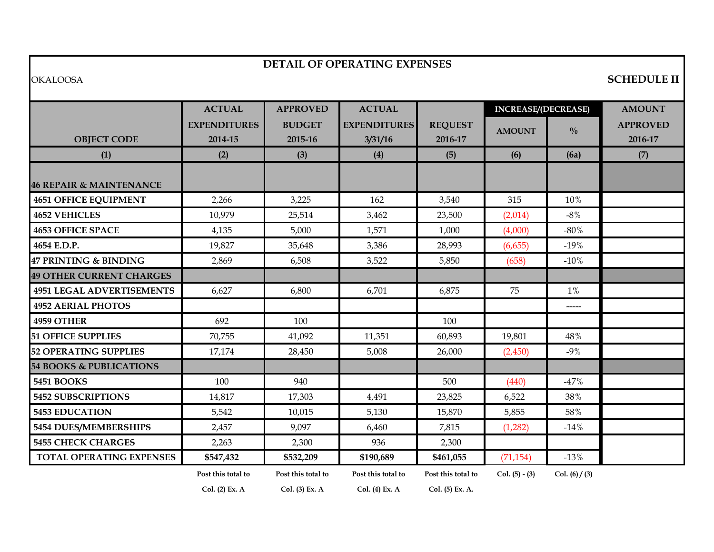#### **DETAIL OF OPERATING EXPENSES**

### OKALOOSA **SCHEDULE II**

|                                    | <b>ACTUAL</b>       | <b>APPROVED</b>    | <b>ACTUAL</b>       |                    | <b>INCREASE/(DECREASE)</b> |                  | <b>AMOUNT</b>   |
|------------------------------------|---------------------|--------------------|---------------------|--------------------|----------------------------|------------------|-----------------|
|                                    | <b>EXPENDITURES</b> | <b>BUDGET</b>      | <b>EXPENDITURES</b> | <b>REQUEST</b>     | <b>AMOUNT</b>              | $\frac{0}{0}$    | <b>APPROVED</b> |
| <b>OBJECT CODE</b>                 | 2014-15             | 2015-16            | 3/31/16             | 2016-17            |                            |                  | 2016-17         |
| (1)                                | (2)                 | (3)                | (4)                 | (5)                | (6)                        | (6a)             | (7)             |
|                                    |                     |                    |                     |                    |                            |                  |                 |
| <b>46 REPAIR &amp; MAINTENANCE</b> |                     |                    |                     |                    |                            |                  |                 |
| <b>4651 OFFICE EQUIPMENT</b>       | 2,266               | 3,225              | 162                 | 3,540              | 315                        | 10%              |                 |
| <b>4652 VEHICLES</b>               | 10,979              | 25,514             | 3,462               | 23,500             | (2,014)                    | $-8\%$           |                 |
| <b>4653 OFFICE SPACE</b>           | 4,135               | 5,000              | 1,571               | 1,000              | (4,000)                    | $-80%$           |                 |
| 4654 E.D.P.                        | 19,827              | 35,648             | 3,386               | 28,993             | (6,655)                    | $-19%$           |                 |
| 47 PRINTING & BINDING              | 2,869               | 6,508              | 3,522               | 5,850              | (658)                      | $-10%$           |                 |
| <b>49 OTHER CURRENT CHARGES</b>    |                     |                    |                     |                    |                            |                  |                 |
| <b>4951 LEGAL ADVERTISEMENTS</b>   | 6,627               | 6,800              | 6,701               | 6,875              | 75                         | $1\%$            |                 |
| <b>4952 AERIAL PHOTOS</b>          |                     |                    |                     |                    |                            | -----            |                 |
| 4959 OTHER                         | 692                 | 100                |                     | 100                |                            |                  |                 |
| <b>51 OFFICE SUPPLIES</b>          | 70,755              | 41,092             | 11,351              | 60,893             | 19,801                     | 48%              |                 |
| <b>52 OPERATING SUPPLIES</b>       | 17,174              | 28,450             | 5,008               | 26,000             | (2,450)                    | $-9%$            |                 |
| <b>54 BOOKS &amp; PUBLICATIONS</b> |                     |                    |                     |                    |                            |                  |                 |
| <b>5451 BOOKS</b>                  | 100                 | 940                |                     | 500                | (440)                      | $-47%$           |                 |
| 5452 SUBSCRIPTIONS                 | 14,817              | 17,303             | 4,491               | 23,825             | 6,522                      | 38%              |                 |
| <b>5453 EDUCATION</b>              | 5,542               | 10,015             | 5,130               | 15,870             | 5,855                      | 58%              |                 |
| 5454 DUES/MEMBERSHIPS              | 2,457               | 9,097              | 6,460               | 7,815              | (1,282)                    | $-14%$           |                 |
| <b>5455 CHECK CHARGES</b>          | 2,263               | 2,300              | 936                 | 2,300              |                            |                  |                 |
| TOTAL OPERATING EXPENSES           | \$547,432           | \$532,209          | \$190,689           | \$461,055          | (71, 154)                  | $-13%$           |                 |
|                                    | Post this total to  | Post this total to | Post this total to  | Post this total to | Col. $(5) - (3)$           | Col. $(6) / (3)$ |                 |
|                                    | Col. (2) Ex. A      | Col. (3) Ex. A     | Col. (4) Ex. A      | Col. (5) Ex. A.    |                            |                  |                 |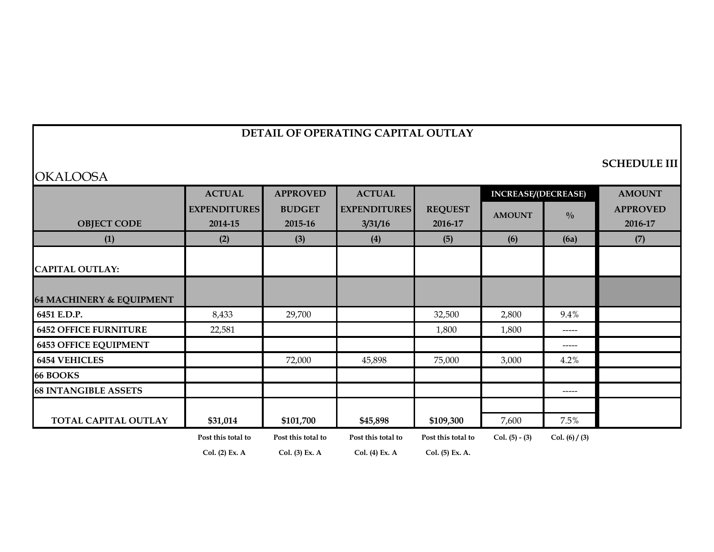# **OKALOOSA**

**SCHEDULE III**

|                                     | <b>ACTUAL</b>       | <b>APPROVED</b>    | <b>ACTUAL</b>       |                    | <b>INCREASE/(DECREASE)</b> |                  | <b>AMOUNT</b>   |
|-------------------------------------|---------------------|--------------------|---------------------|--------------------|----------------------------|------------------|-----------------|
|                                     | <b>EXPENDITURES</b> | <b>BUDGET</b>      | <b>EXPENDITURES</b> | <b>REQUEST</b>     | <b>AMOUNT</b>              | $\frac{0}{0}$    | <b>APPROVED</b> |
| <b>OBJECT CODE</b>                  | 2014-15             | 2015-16            | 3/31/16             | 2016-17            |                            |                  | 2016-17         |
| (1)                                 | (2)                 | (3)                | (4)                 | (5)                | (6)                        | (6a)             | (7)             |
|                                     |                     |                    |                     |                    |                            |                  |                 |
| <b>CAPITAL OUTLAY:</b>              |                     |                    |                     |                    |                            |                  |                 |
|                                     |                     |                    |                     |                    |                            |                  |                 |
| <b>64 MACHINERY &amp; EQUIPMENT</b> |                     |                    |                     |                    |                            |                  |                 |
| 6451 E.D.P.                         | 8,433               | 29,700             |                     | 32,500             | 2,800                      | 9.4%             |                 |
| <b>6452 OFFICE FURNITURE</b>        | 22,581              |                    |                     | 1,800              | 1,800                      | -----            |                 |
| <b>6453 OFFICE EQUIPMENT</b>        |                     |                    |                     |                    |                            | -----            |                 |
| <b>6454 VEHICLES</b>                |                     | 72,000             | 45,898              | 75,000             | 3,000                      | 4.2%             |                 |
| <b>66 BOOKS</b>                     |                     |                    |                     |                    |                            |                  |                 |
| <b>68 INTANGIBLE ASSETS</b>         |                     |                    |                     |                    |                            | ------           |                 |
|                                     |                     |                    |                     |                    |                            |                  |                 |
| <b>TOTAL CAPITAL OUTLAY</b>         | \$31,014            | \$101,700          | \$45,898            | \$109,300          | 7,600                      | 7.5%             |                 |
|                                     | Post this total to  | Post this total to | Post this total to  | Post this total to | Col. $(5) - (3)$           | Col. $(6) / (3)$ |                 |
|                                     | Col. (2) Ex. A      | Col. (3) Ex. A     | Col. (4) Ex. A      | Col. (5) Ex. A.    |                            |                  |                 |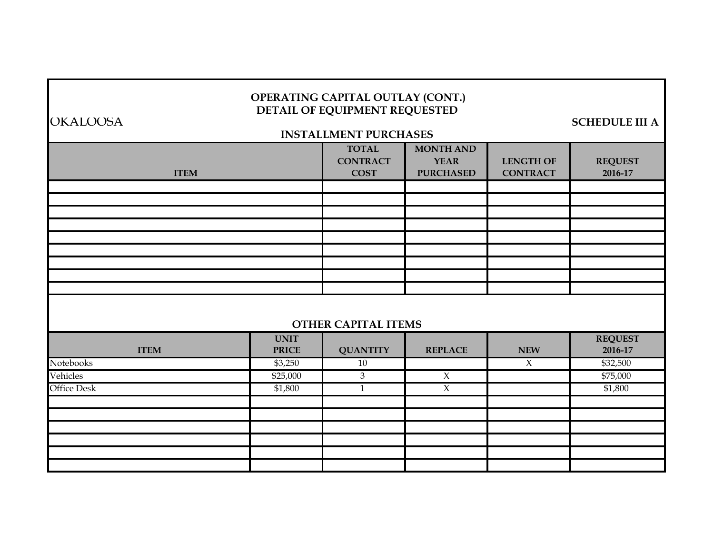#### **OPERATING CAPITAL OUTLAY (CONT.) DETAIL OF EQUIPMENT REQUESTED**

OKALOOSA **SCHEDULE III A**

# **TOTAL MONTH AND CONTRACT YEAR LENGTH OF REQUEST COST PURCHASED CONTRACT 2016-17** UNIT REQUEST **ITEM PRICE QUANTITY REPLACE NEW 2016-17** Notebooks \$3,250 10 X \$32,500  $\rm{V}$ ehicles  $$75,000$   $$3$   $X$   $$75,000$ Office Desk  $$1,800$  and  $$1,800$  and  $$1,800$  and  $X$  and  $$1,800$  and  $$1,800$ **INSTALLMENT PURCHASES ITEM OTHER CAPITAL ITEMS**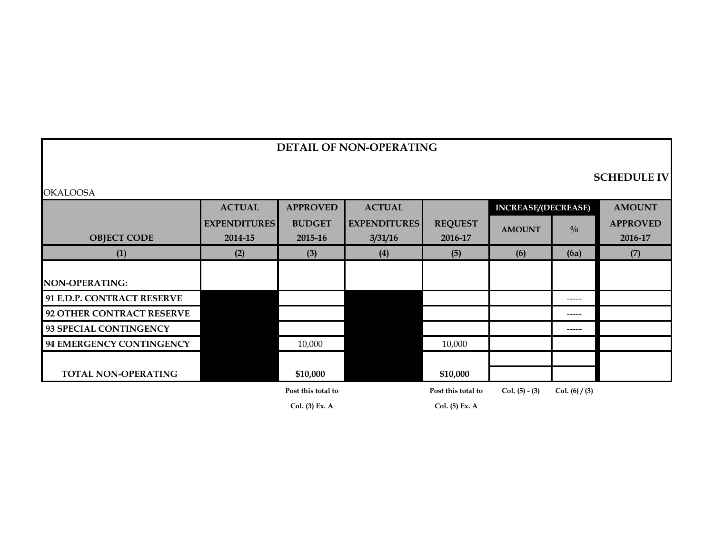## **DETAIL OF NON-OPERATING**

#### **SCHEDULE IV**

|                            | <b>ACTUAL</b>       | <b>APPROVED</b>    | <b>ACTUAL</b>       |                    | <b>INCREASE/(DECREASE)</b> |                  | <b>AMOUNT</b>   |
|----------------------------|---------------------|--------------------|---------------------|--------------------|----------------------------|------------------|-----------------|
|                            | <b>EXPENDITURES</b> | <b>BUDGET</b>      | <b>EXPENDITURES</b> | <b>REQUEST</b>     | <b>AMOUNT</b>              | $\frac{0}{0}$    | <b>APPROVED</b> |
| <b>OBJECT CODE</b>         | 2014-15             | 2015-16            | 3/31/16             | 2016-17            |                            |                  | 2016-17         |
| (1)                        | (2)                 | (3)                | (4)                 | (5)                | (6)                        | (6a)             | (7)             |
|                            |                     |                    |                     |                    |                            |                  |                 |
| <b>NON-OPERATING:</b>      |                     |                    |                     |                    |                            |                  |                 |
| 91 E.D.P. CONTRACT RESERVE |                     |                    |                     |                    |                            | -----            |                 |
| 92 OTHER CONTRACT RESERVE  |                     |                    |                     |                    |                            | $- - - - -$      |                 |
| 93 SPECIAL CONTINGENCY     |                     |                    |                     |                    |                            | -----            |                 |
| 94 EMERGENCY CONTINGENCY   |                     | 10,000             |                     | 10,000             |                            |                  |                 |
|                            |                     |                    |                     |                    |                            |                  |                 |
| <b>TOTAL NON-OPERATING</b> |                     | \$10,000           |                     | \$10,000           |                            |                  |                 |
|                            |                     | Post this total to |                     | Post this total to | Col. $(5) - (3)$           | Col. $(6) / (3)$ |                 |
|                            |                     | Col. (3) Ex. A     |                     | Col. (5) Ex. A     |                            |                  |                 |

OKALOOSA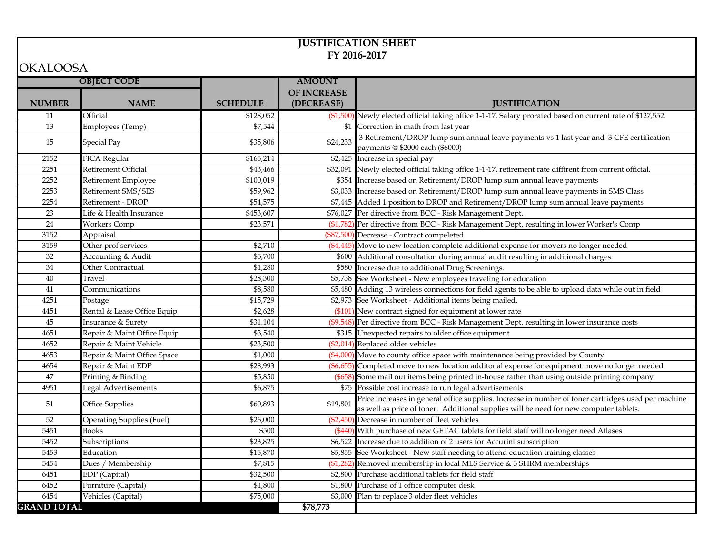#### **JUSTIFICATION SHEET FY 2016-2017**

#### OKALOOSA

| <b>OBJECT CODE</b><br><b>AMOUNT</b><br><b>OF INCREASE</b><br><b>NUMBER</b><br><b>NAME</b><br><b>SCHEDULE</b><br>(DECREASE)<br><b>JUSTIFICATION</b><br>(\$1,500) Newly elected official taking office 1-1-17. Salary prorated based on current rate of \$127,552.<br>11<br>Official<br>\$128,052<br>13<br>\$7,544<br>\$1 Correction in math from last year<br>Employees (Temp)<br>3 Retirement/DROP lump sum annual leave payments vs 1 last year and 3 CFE certification<br>\$35,806<br>\$24,233<br>15<br><b>Special Pay</b><br>payments @ \$2000 each (\$6000)<br>2152<br>FICA Regular<br>\$165,214<br>\$2,425 Increase in special pay<br>\$32,091 Newly elected official taking office 1-1-17, retirement rate diffirent from current official.<br>2251<br>Retirement Official<br>\$43,466<br>2252<br>\$354 Increase based on Retirement/DROP lump sum annual leave payments<br>Retirement Employee<br>\$100,019<br>\$3,033 Increase based on Retirement/DROP lump sum annual leave payments in SMS Class<br>2253<br>Retirement SMS/SES<br>\$59,962<br>2254<br>Retirement - DROP<br>\$54,575<br>\$7,445 Added 1 position to DROP and Retirement/DROP lump sum annual leave payments<br>23<br>Life & Health Insurance<br>\$453,607<br>\$76,027 Per directive from BCC - Risk Management Dept.<br>24<br>(\$1,782) Per directive from BCC - Risk Management Dept. resulting in lower Worker's Comp<br><b>Workers Comp</b><br>\$23,571<br>3152<br>(\$87,500) Decrease - Contract compeleted<br>Appraisal<br>(\$4,445) Move to new location complete additional expense for movers no longer needed<br>3159<br>Other prof services<br>\$2,710<br>\$600 Additional consultation during annual audit resulting in additional charges.<br>32<br>Accounting & Audit<br>\$5,700<br>$\overline{34}$<br>Other Contractual<br>\$580 Increase due to additional Drug Screenings.<br>\$1,280<br>\$5,738 See Worksheet - New employees traveling for education<br>$40\,$<br>\$28,300<br>Travel<br>\$5,480 Adding 13 wireless connections for field agents to be able to upload data while out in field<br>$41\,$<br>\$8,580<br>Communications<br>4251<br>\$2,973 See Worksheet - Additional items being mailed.<br>\$15,729<br>Postage<br>\$2,628<br>(\$101) New contract signed for equipment at lower rate<br>4451<br>Rental & Lease Office Equip<br>(\$9,548) Per directive from BCC - Risk Management Dept. resulting in lower insurance costs<br>45<br><b>Insurance &amp; Surety</b><br>\$31,104<br>4651<br>Repair & Maint Office Equip<br>\$3,540<br>\$315 Unexpected repairs to older office equipment<br>4652<br>Repair & Maint Vehicle<br>(\$2,014) Replaced older vehicles<br>\$23,500<br>(\$4,000) Move to county office space with maintenance being provided by County<br>4653<br>Repair & Maint Office Space<br>\$1,000<br>4654<br>Repair & Maint EDP<br>\$28,993<br>(\$6,655) Completed move to new location additonal expense for equipment move no longer needed<br>47<br>(\$658) Some mail out items being printed in-house rather than using outside printing company<br>Printing & Binding<br>\$5,850 |  |
|-------------------------------------------------------------------------------------------------------------------------------------------------------------------------------------------------------------------------------------------------------------------------------------------------------------------------------------------------------------------------------------------------------------------------------------------------------------------------------------------------------------------------------------------------------------------------------------------------------------------------------------------------------------------------------------------------------------------------------------------------------------------------------------------------------------------------------------------------------------------------------------------------------------------------------------------------------------------------------------------------------------------------------------------------------------------------------------------------------------------------------------------------------------------------------------------------------------------------------------------------------------------------------------------------------------------------------------------------------------------------------------------------------------------------------------------------------------------------------------------------------------------------------------------------------------------------------------------------------------------------------------------------------------------------------------------------------------------------------------------------------------------------------------------------------------------------------------------------------------------------------------------------------------------------------------------------------------------------------------------------------------------------------------------------------------------------------------------------------------------------------------------------------------------------------------------------------------------------------------------------------------------------------------------------------------------------------------------------------------------------------------------------------------------------------------------------------------------------------------------------------------------------------------------------------------------------------------------------------------------------------------------------------------------------------------------------------------------------------------------------------------------------------------------------------------------------------------------------------------------------------------------------------------------------------------------------------------------------------------------------------------------------------------------------------------------------------------------------------------|--|
|                                                                                                                                                                                                                                                                                                                                                                                                                                                                                                                                                                                                                                                                                                                                                                                                                                                                                                                                                                                                                                                                                                                                                                                                                                                                                                                                                                                                                                                                                                                                                                                                                                                                                                                                                                                                                                                                                                                                                                                                                                                                                                                                                                                                                                                                                                                                                                                                                                                                                                                                                                                                                                                                                                                                                                                                                                                                                                                                                                                                                                                                                                             |  |
|                                                                                                                                                                                                                                                                                                                                                                                                                                                                                                                                                                                                                                                                                                                                                                                                                                                                                                                                                                                                                                                                                                                                                                                                                                                                                                                                                                                                                                                                                                                                                                                                                                                                                                                                                                                                                                                                                                                                                                                                                                                                                                                                                                                                                                                                                                                                                                                                                                                                                                                                                                                                                                                                                                                                                                                                                                                                                                                                                                                                                                                                                                             |  |
|                                                                                                                                                                                                                                                                                                                                                                                                                                                                                                                                                                                                                                                                                                                                                                                                                                                                                                                                                                                                                                                                                                                                                                                                                                                                                                                                                                                                                                                                                                                                                                                                                                                                                                                                                                                                                                                                                                                                                                                                                                                                                                                                                                                                                                                                                                                                                                                                                                                                                                                                                                                                                                                                                                                                                                                                                                                                                                                                                                                                                                                                                                             |  |
|                                                                                                                                                                                                                                                                                                                                                                                                                                                                                                                                                                                                                                                                                                                                                                                                                                                                                                                                                                                                                                                                                                                                                                                                                                                                                                                                                                                                                                                                                                                                                                                                                                                                                                                                                                                                                                                                                                                                                                                                                                                                                                                                                                                                                                                                                                                                                                                                                                                                                                                                                                                                                                                                                                                                                                                                                                                                                                                                                                                                                                                                                                             |  |
|                                                                                                                                                                                                                                                                                                                                                                                                                                                                                                                                                                                                                                                                                                                                                                                                                                                                                                                                                                                                                                                                                                                                                                                                                                                                                                                                                                                                                                                                                                                                                                                                                                                                                                                                                                                                                                                                                                                                                                                                                                                                                                                                                                                                                                                                                                                                                                                                                                                                                                                                                                                                                                                                                                                                                                                                                                                                                                                                                                                                                                                                                                             |  |
|                                                                                                                                                                                                                                                                                                                                                                                                                                                                                                                                                                                                                                                                                                                                                                                                                                                                                                                                                                                                                                                                                                                                                                                                                                                                                                                                                                                                                                                                                                                                                                                                                                                                                                                                                                                                                                                                                                                                                                                                                                                                                                                                                                                                                                                                                                                                                                                                                                                                                                                                                                                                                                                                                                                                                                                                                                                                                                                                                                                                                                                                                                             |  |
|                                                                                                                                                                                                                                                                                                                                                                                                                                                                                                                                                                                                                                                                                                                                                                                                                                                                                                                                                                                                                                                                                                                                                                                                                                                                                                                                                                                                                                                                                                                                                                                                                                                                                                                                                                                                                                                                                                                                                                                                                                                                                                                                                                                                                                                                                                                                                                                                                                                                                                                                                                                                                                                                                                                                                                                                                                                                                                                                                                                                                                                                                                             |  |
|                                                                                                                                                                                                                                                                                                                                                                                                                                                                                                                                                                                                                                                                                                                                                                                                                                                                                                                                                                                                                                                                                                                                                                                                                                                                                                                                                                                                                                                                                                                                                                                                                                                                                                                                                                                                                                                                                                                                                                                                                                                                                                                                                                                                                                                                                                                                                                                                                                                                                                                                                                                                                                                                                                                                                                                                                                                                                                                                                                                                                                                                                                             |  |
|                                                                                                                                                                                                                                                                                                                                                                                                                                                                                                                                                                                                                                                                                                                                                                                                                                                                                                                                                                                                                                                                                                                                                                                                                                                                                                                                                                                                                                                                                                                                                                                                                                                                                                                                                                                                                                                                                                                                                                                                                                                                                                                                                                                                                                                                                                                                                                                                                                                                                                                                                                                                                                                                                                                                                                                                                                                                                                                                                                                                                                                                                                             |  |
|                                                                                                                                                                                                                                                                                                                                                                                                                                                                                                                                                                                                                                                                                                                                                                                                                                                                                                                                                                                                                                                                                                                                                                                                                                                                                                                                                                                                                                                                                                                                                                                                                                                                                                                                                                                                                                                                                                                                                                                                                                                                                                                                                                                                                                                                                                                                                                                                                                                                                                                                                                                                                                                                                                                                                                                                                                                                                                                                                                                                                                                                                                             |  |
|                                                                                                                                                                                                                                                                                                                                                                                                                                                                                                                                                                                                                                                                                                                                                                                                                                                                                                                                                                                                                                                                                                                                                                                                                                                                                                                                                                                                                                                                                                                                                                                                                                                                                                                                                                                                                                                                                                                                                                                                                                                                                                                                                                                                                                                                                                                                                                                                                                                                                                                                                                                                                                                                                                                                                                                                                                                                                                                                                                                                                                                                                                             |  |
|                                                                                                                                                                                                                                                                                                                                                                                                                                                                                                                                                                                                                                                                                                                                                                                                                                                                                                                                                                                                                                                                                                                                                                                                                                                                                                                                                                                                                                                                                                                                                                                                                                                                                                                                                                                                                                                                                                                                                                                                                                                                                                                                                                                                                                                                                                                                                                                                                                                                                                                                                                                                                                                                                                                                                                                                                                                                                                                                                                                                                                                                                                             |  |
|                                                                                                                                                                                                                                                                                                                                                                                                                                                                                                                                                                                                                                                                                                                                                                                                                                                                                                                                                                                                                                                                                                                                                                                                                                                                                                                                                                                                                                                                                                                                                                                                                                                                                                                                                                                                                                                                                                                                                                                                                                                                                                                                                                                                                                                                                                                                                                                                                                                                                                                                                                                                                                                                                                                                                                                                                                                                                                                                                                                                                                                                                                             |  |
|                                                                                                                                                                                                                                                                                                                                                                                                                                                                                                                                                                                                                                                                                                                                                                                                                                                                                                                                                                                                                                                                                                                                                                                                                                                                                                                                                                                                                                                                                                                                                                                                                                                                                                                                                                                                                                                                                                                                                                                                                                                                                                                                                                                                                                                                                                                                                                                                                                                                                                                                                                                                                                                                                                                                                                                                                                                                                                                                                                                                                                                                                                             |  |
|                                                                                                                                                                                                                                                                                                                                                                                                                                                                                                                                                                                                                                                                                                                                                                                                                                                                                                                                                                                                                                                                                                                                                                                                                                                                                                                                                                                                                                                                                                                                                                                                                                                                                                                                                                                                                                                                                                                                                                                                                                                                                                                                                                                                                                                                                                                                                                                                                                                                                                                                                                                                                                                                                                                                                                                                                                                                                                                                                                                                                                                                                                             |  |
|                                                                                                                                                                                                                                                                                                                                                                                                                                                                                                                                                                                                                                                                                                                                                                                                                                                                                                                                                                                                                                                                                                                                                                                                                                                                                                                                                                                                                                                                                                                                                                                                                                                                                                                                                                                                                                                                                                                                                                                                                                                                                                                                                                                                                                                                                                                                                                                                                                                                                                                                                                                                                                                                                                                                                                                                                                                                                                                                                                                                                                                                                                             |  |
|                                                                                                                                                                                                                                                                                                                                                                                                                                                                                                                                                                                                                                                                                                                                                                                                                                                                                                                                                                                                                                                                                                                                                                                                                                                                                                                                                                                                                                                                                                                                                                                                                                                                                                                                                                                                                                                                                                                                                                                                                                                                                                                                                                                                                                                                                                                                                                                                                                                                                                                                                                                                                                                                                                                                                                                                                                                                                                                                                                                                                                                                                                             |  |
|                                                                                                                                                                                                                                                                                                                                                                                                                                                                                                                                                                                                                                                                                                                                                                                                                                                                                                                                                                                                                                                                                                                                                                                                                                                                                                                                                                                                                                                                                                                                                                                                                                                                                                                                                                                                                                                                                                                                                                                                                                                                                                                                                                                                                                                                                                                                                                                                                                                                                                                                                                                                                                                                                                                                                                                                                                                                                                                                                                                                                                                                                                             |  |
|                                                                                                                                                                                                                                                                                                                                                                                                                                                                                                                                                                                                                                                                                                                                                                                                                                                                                                                                                                                                                                                                                                                                                                                                                                                                                                                                                                                                                                                                                                                                                                                                                                                                                                                                                                                                                                                                                                                                                                                                                                                                                                                                                                                                                                                                                                                                                                                                                                                                                                                                                                                                                                                                                                                                                                                                                                                                                                                                                                                                                                                                                                             |  |
|                                                                                                                                                                                                                                                                                                                                                                                                                                                                                                                                                                                                                                                                                                                                                                                                                                                                                                                                                                                                                                                                                                                                                                                                                                                                                                                                                                                                                                                                                                                                                                                                                                                                                                                                                                                                                                                                                                                                                                                                                                                                                                                                                                                                                                                                                                                                                                                                                                                                                                                                                                                                                                                                                                                                                                                                                                                                                                                                                                                                                                                                                                             |  |
|                                                                                                                                                                                                                                                                                                                                                                                                                                                                                                                                                                                                                                                                                                                                                                                                                                                                                                                                                                                                                                                                                                                                                                                                                                                                                                                                                                                                                                                                                                                                                                                                                                                                                                                                                                                                                                                                                                                                                                                                                                                                                                                                                                                                                                                                                                                                                                                                                                                                                                                                                                                                                                                                                                                                                                                                                                                                                                                                                                                                                                                                                                             |  |
|                                                                                                                                                                                                                                                                                                                                                                                                                                                                                                                                                                                                                                                                                                                                                                                                                                                                                                                                                                                                                                                                                                                                                                                                                                                                                                                                                                                                                                                                                                                                                                                                                                                                                                                                                                                                                                                                                                                                                                                                                                                                                                                                                                                                                                                                                                                                                                                                                                                                                                                                                                                                                                                                                                                                                                                                                                                                                                                                                                                                                                                                                                             |  |
|                                                                                                                                                                                                                                                                                                                                                                                                                                                                                                                                                                                                                                                                                                                                                                                                                                                                                                                                                                                                                                                                                                                                                                                                                                                                                                                                                                                                                                                                                                                                                                                                                                                                                                                                                                                                                                                                                                                                                                                                                                                                                                                                                                                                                                                                                                                                                                                                                                                                                                                                                                                                                                                                                                                                                                                                                                                                                                                                                                                                                                                                                                             |  |
|                                                                                                                                                                                                                                                                                                                                                                                                                                                                                                                                                                                                                                                                                                                                                                                                                                                                                                                                                                                                                                                                                                                                                                                                                                                                                                                                                                                                                                                                                                                                                                                                                                                                                                                                                                                                                                                                                                                                                                                                                                                                                                                                                                                                                                                                                                                                                                                                                                                                                                                                                                                                                                                                                                                                                                                                                                                                                                                                                                                                                                                                                                             |  |
|                                                                                                                                                                                                                                                                                                                                                                                                                                                                                                                                                                                                                                                                                                                                                                                                                                                                                                                                                                                                                                                                                                                                                                                                                                                                                                                                                                                                                                                                                                                                                                                                                                                                                                                                                                                                                                                                                                                                                                                                                                                                                                                                                                                                                                                                                                                                                                                                                                                                                                                                                                                                                                                                                                                                                                                                                                                                                                                                                                                                                                                                                                             |  |
|                                                                                                                                                                                                                                                                                                                                                                                                                                                                                                                                                                                                                                                                                                                                                                                                                                                                                                                                                                                                                                                                                                                                                                                                                                                                                                                                                                                                                                                                                                                                                                                                                                                                                                                                                                                                                                                                                                                                                                                                                                                                                                                                                                                                                                                                                                                                                                                                                                                                                                                                                                                                                                                                                                                                                                                                                                                                                                                                                                                                                                                                                                             |  |
|                                                                                                                                                                                                                                                                                                                                                                                                                                                                                                                                                                                                                                                                                                                                                                                                                                                                                                                                                                                                                                                                                                                                                                                                                                                                                                                                                                                                                                                                                                                                                                                                                                                                                                                                                                                                                                                                                                                                                                                                                                                                                                                                                                                                                                                                                                                                                                                                                                                                                                                                                                                                                                                                                                                                                                                                                                                                                                                                                                                                                                                                                                             |  |
| \$75 Possible cost increase to run legal advertisements<br>4951<br>Legal Advertisements<br>\$6,875                                                                                                                                                                                                                                                                                                                                                                                                                                                                                                                                                                                                                                                                                                                                                                                                                                                                                                                                                                                                                                                                                                                                                                                                                                                                                                                                                                                                                                                                                                                                                                                                                                                                                                                                                                                                                                                                                                                                                                                                                                                                                                                                                                                                                                                                                                                                                                                                                                                                                                                                                                                                                                                                                                                                                                                                                                                                                                                                                                                                          |  |
| Price increases in general office supplies. Increase in number of toner cartridges used per machine<br>\$19,801<br>51<br><b>Office Supplies</b><br>\$60,893<br>as well as price of toner. Additional supplies will be need for new computer tablets.                                                                                                                                                                                                                                                                                                                                                                                                                                                                                                                                                                                                                                                                                                                                                                                                                                                                                                                                                                                                                                                                                                                                                                                                                                                                                                                                                                                                                                                                                                                                                                                                                                                                                                                                                                                                                                                                                                                                                                                                                                                                                                                                                                                                                                                                                                                                                                                                                                                                                                                                                                                                                                                                                                                                                                                                                                                        |  |
| (\$2,450) Decrease in number of fleet vehicles<br>52<br><b>Operating Supplies (Fuel)</b><br>\$26,000                                                                                                                                                                                                                                                                                                                                                                                                                                                                                                                                                                                                                                                                                                                                                                                                                                                                                                                                                                                                                                                                                                                                                                                                                                                                                                                                                                                                                                                                                                                                                                                                                                                                                                                                                                                                                                                                                                                                                                                                                                                                                                                                                                                                                                                                                                                                                                                                                                                                                                                                                                                                                                                                                                                                                                                                                                                                                                                                                                                                        |  |
| (\$440) With purchase of new GETAC tablets for field staff will no longer need Atlases<br>5451<br><b>Books</b><br>\$500                                                                                                                                                                                                                                                                                                                                                                                                                                                                                                                                                                                                                                                                                                                                                                                                                                                                                                                                                                                                                                                                                                                                                                                                                                                                                                                                                                                                                                                                                                                                                                                                                                                                                                                                                                                                                                                                                                                                                                                                                                                                                                                                                                                                                                                                                                                                                                                                                                                                                                                                                                                                                                                                                                                                                                                                                                                                                                                                                                                     |  |
| \$23,825<br>5452<br>\$6,522 Increase due to addition of 2 users for Accurint subscription<br>Subscriptions                                                                                                                                                                                                                                                                                                                                                                                                                                                                                                                                                                                                                                                                                                                                                                                                                                                                                                                                                                                                                                                                                                                                                                                                                                                                                                                                                                                                                                                                                                                                                                                                                                                                                                                                                                                                                                                                                                                                                                                                                                                                                                                                                                                                                                                                                                                                                                                                                                                                                                                                                                                                                                                                                                                                                                                                                                                                                                                                                                                                  |  |
| \$5,855 See Worksheet - New staff needing to attend education training classes<br>Education<br>5453<br>\$15,870                                                                                                                                                                                                                                                                                                                                                                                                                                                                                                                                                                                                                                                                                                                                                                                                                                                                                                                                                                                                                                                                                                                                                                                                                                                                                                                                                                                                                                                                                                                                                                                                                                                                                                                                                                                                                                                                                                                                                                                                                                                                                                                                                                                                                                                                                                                                                                                                                                                                                                                                                                                                                                                                                                                                                                                                                                                                                                                                                                                             |  |
| 5454<br>(\$1,282) Removed membership in local MLS Service & 3 SHRM memberships<br>\$7,815<br>Dues / Membership                                                                                                                                                                                                                                                                                                                                                                                                                                                                                                                                                                                                                                                                                                                                                                                                                                                                                                                                                                                                                                                                                                                                                                                                                                                                                                                                                                                                                                                                                                                                                                                                                                                                                                                                                                                                                                                                                                                                                                                                                                                                                                                                                                                                                                                                                                                                                                                                                                                                                                                                                                                                                                                                                                                                                                                                                                                                                                                                                                                              |  |
| \$32,500<br>\$2,800 Purchase additional tablets for field staff<br>6451<br>EDP (Capital)                                                                                                                                                                                                                                                                                                                                                                                                                                                                                                                                                                                                                                                                                                                                                                                                                                                                                                                                                                                                                                                                                                                                                                                                                                                                                                                                                                                                                                                                                                                                                                                                                                                                                                                                                                                                                                                                                                                                                                                                                                                                                                                                                                                                                                                                                                                                                                                                                                                                                                                                                                                                                                                                                                                                                                                                                                                                                                                                                                                                                    |  |
| 6452<br>Furniture (Capital)<br>\$1,800<br>\$1,800 Purchase of 1 office computer desk                                                                                                                                                                                                                                                                                                                                                                                                                                                                                                                                                                                                                                                                                                                                                                                                                                                                                                                                                                                                                                                                                                                                                                                                                                                                                                                                                                                                                                                                                                                                                                                                                                                                                                                                                                                                                                                                                                                                                                                                                                                                                                                                                                                                                                                                                                                                                                                                                                                                                                                                                                                                                                                                                                                                                                                                                                                                                                                                                                                                                        |  |
| 6454<br>Vehicles (Capital)<br>\$75,000<br>\$3,000 Plan to replace 3 older fleet vehicles                                                                                                                                                                                                                                                                                                                                                                                                                                                                                                                                                                                                                                                                                                                                                                                                                                                                                                                                                                                                                                                                                                                                                                                                                                                                                                                                                                                                                                                                                                                                                                                                                                                                                                                                                                                                                                                                                                                                                                                                                                                                                                                                                                                                                                                                                                                                                                                                                                                                                                                                                                                                                                                                                                                                                                                                                                                                                                                                                                                                                    |  |
| <b>GRAND TOTAL</b><br>\$78,773                                                                                                                                                                                                                                                                                                                                                                                                                                                                                                                                                                                                                                                                                                                                                                                                                                                                                                                                                                                                                                                                                                                                                                                                                                                                                                                                                                                                                                                                                                                                                                                                                                                                                                                                                                                                                                                                                                                                                                                                                                                                                                                                                                                                                                                                                                                                                                                                                                                                                                                                                                                                                                                                                                                                                                                                                                                                                                                                                                                                                                                                              |  |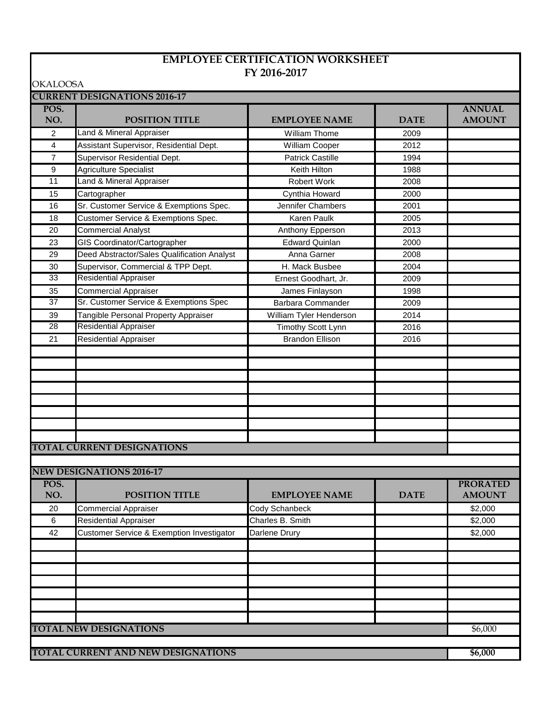#### **EMPLOYEE CERTIFICATION WORKSHEET FY 2016-2017**

OKALOOSA

| UNALUUSA        | <b>CURRENT DESIGNATIONS 2016-17</b>         |                         |             |                 |
|-----------------|---------------------------------------------|-------------------------|-------------|-----------------|
| POS.            |                                             |                         |             | <b>ANNUAL</b>   |
| NO.             | <b>POSITION TITLE</b>                       | <b>EMPLOYEE NAME</b>    | <b>DATE</b> | <b>AMOUNT</b>   |
| $\overline{2}$  | Land & Mineral Appraiser                    | <b>William Thome</b>    | 2009        |                 |
| 4               | Assistant Supervisor, Residential Dept.     | William Cooper          | 2012        |                 |
| $\overline{7}$  | Supervisor Residential Dept.                | <b>Patrick Castille</b> | 1994        |                 |
| 9               | Agriculture Specialist                      | Keith Hilton            | 1988        |                 |
| $\overline{11}$ | Land & Mineral Appraiser                    | Robert Work             | 2008        |                 |
| 15              | Cartographer                                | Cynthia Howard          | 2000        |                 |
| 16              | Sr. Customer Service & Exemptions Spec.     | Jennifer Chambers       | 2001        |                 |
| 18              | Customer Service & Exemptions Spec.         | Karen Paulk             | 2005        |                 |
| 20              | <b>Commercial Analyst</b>                   | Anthony Epperson        | 2013        |                 |
| 23              | GIS Coordinator/Cartographer                | <b>Edward Quinlan</b>   | 2000        |                 |
| 29              | Deed Abstractor/Sales Qualification Analyst | Anna Garner             | 2008        |                 |
| 30              | Supervisor, Commercial & TPP Dept.          | H. Mack Busbee          | 2004        |                 |
| 33              | <b>Residential Appraiser</b>                | Ernest Goodhart, Jr.    | 2009        |                 |
| 35              | <b>Commercial Appraiser</b>                 | James Finlayson         | 1998        |                 |
| $\overline{37}$ | Sr. Customer Service & Exemptions Spec      | Barbara Commander       | 2009        |                 |
| 39              | Tangible Personal Property Appraiser        | William Tyler Henderson | 2014        |                 |
| $\overline{28}$ | <b>Residential Appraiser</b>                | Timothy Scott Lynn      | 2016        |                 |
| 21              | <b>Residential Appraiser</b>                | <b>Brandon Ellison</b>  | 2016        |                 |
|                 |                                             |                         |             |                 |
|                 |                                             |                         |             |                 |
|                 |                                             |                         |             |                 |
|                 |                                             |                         |             |                 |
|                 |                                             |                         |             |                 |
|                 |                                             |                         |             |                 |
|                 |                                             |                         |             |                 |
|                 |                                             |                         |             |                 |
|                 | <b>TOTAL CURRENT DESIGNATIONS</b>           |                         |             |                 |
|                 |                                             |                         |             |                 |
|                 | <b>NEW DESIGNATIONS 2016-17</b>             |                         |             |                 |
| POS.            |                                             |                         |             | <b>PRORATED</b> |
| NO.             | <b>POSITION TITLE</b>                       | <b>EMPLOYEE NAME</b>    | <b>DATE</b> | <b>AMOUNT</b>   |
| 20              | <b>Commercial Appraiser</b>                 | Cody Schanbeck          |             | \$2,000         |
| $\,6\,$         | <b>Residential Appraiser</b>                | Charles B. Smith        |             | \$2,000         |
| 42              | Customer Service & Exemption Investigator   | Darlene Drury           |             | \$2,000         |
|                 |                                             |                         |             |                 |
|                 |                                             |                         |             |                 |
|                 |                                             |                         |             |                 |
|                 |                                             |                         |             |                 |
|                 |                                             |                         |             |                 |
|                 |                                             |                         |             |                 |
|                 |                                             |                         |             |                 |
|                 | <b>TOTAL NEW DESIGNATIONS</b>               |                         |             | \$6,000         |
|                 |                                             |                         |             |                 |
|                 | TOTAL CURRENT AND NEW DESIGNATIONS          |                         |             | \$6,000         |
|                 |                                             |                         |             |                 |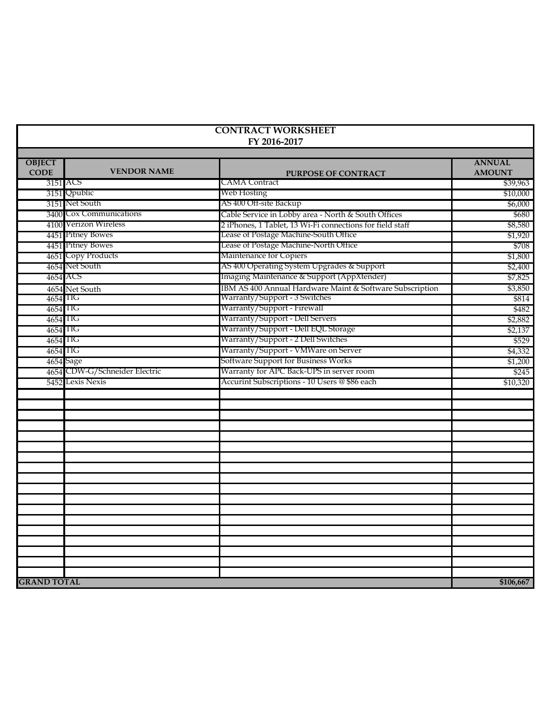|                              |                               | <b>CONTRACT WORKSHEET</b><br>FY 2016-2017                 |                                |
|------------------------------|-------------------------------|-----------------------------------------------------------|--------------------------------|
| <b>OBJECT</b><br><b>CODE</b> | <b>VENDOR NAME</b>            | <b>PURPOSE OF CONTRACT</b>                                | <b>ANNUAL</b><br><b>AMOUNT</b> |
|                              | 3151 ACS                      | CAMA Contract                                             | \$39,963                       |
|                              | 3151 Qpublic                  | Web Hosting                                               | \$10,000                       |
|                              | 3151 Net South                | AS 400 Off-site Backup                                    | \$6,000                        |
|                              | 3400 Cox Communications       | Cable Service in Lobby area - North & South Offices       | \$680                          |
|                              | 4100 Verizon Wireless         | 2 iPhones, 1 Tablet, 13 Wi-Fi connections for field staff | \$8,580                        |
|                              | 4451 Pitney Bowes             | Lease of Postage Machine-South Office                     | \$1,920                        |
|                              | 4451 Pitney Bowes             | Lease of Postage Machine-North Office                     | \$708                          |
|                              | 4651 Copy Products            | Maintenance for Copiers                                   | \$1,800                        |
|                              | 4654 Net South                | AS 400 Operating System Upgrades & Support                | \$2,400                        |
|                              | 4654 ACS                      | Imaging Maintenance & Support (AppXtender)                | \$7,825                        |
|                              | 4654 Net South                | IBM AS 400 Annual Hardware Maint & Software Subscription  | \$3,850                        |
| 4654 TIG                     |                               | Warranty/Support - 3 Switches                             | \$814                          |
| 4654 TIG                     |                               | Warranty/Support - Firewall                               | \$482                          |
| 4654 IIG                     |                               | Warranty/Support - Dell Servers                           | \$2,882                        |
| 4654 IIG                     |                               | Warranty/Support - Dell EQL Storage                       | \$2,137                        |
| 4654 IIG                     |                               | Warranty/Support - 2 Dell Switches                        | \$529                          |
| 4654 IIG                     |                               | Warranty/Support - VMWare on Server                       | \$4,332                        |
|                              | 4654 Sage                     | Software Support for Business Works                       | \$1,200                        |
|                              | 4654 CDW-G/Schneider Electric | Warranty for APC Back-UPS in server room                  | \$245                          |
|                              | 5452 Lexis Nexis              | Accurint Subscriptions - 10 Users @ \$86 each             | \$10,320                       |
|                              |                               |                                                           |                                |
|                              |                               |                                                           |                                |
|                              |                               |                                                           |                                |
|                              |                               |                                                           |                                |
|                              |                               |                                                           |                                |
|                              |                               |                                                           |                                |
|                              |                               |                                                           |                                |
|                              |                               |                                                           |                                |
|                              |                               |                                                           |                                |
|                              |                               |                                                           |                                |
|                              |                               |                                                           |                                |
|                              |                               |                                                           |                                |
|                              |                               |                                                           |                                |
|                              |                               |                                                           |                                |
|                              |                               |                                                           |                                |
|                              |                               |                                                           |                                |
|                              |                               |                                                           |                                |
|                              |                               |                                                           |                                |
| <b>GRAND TOTAL</b>           |                               |                                                           | \$106,667                      |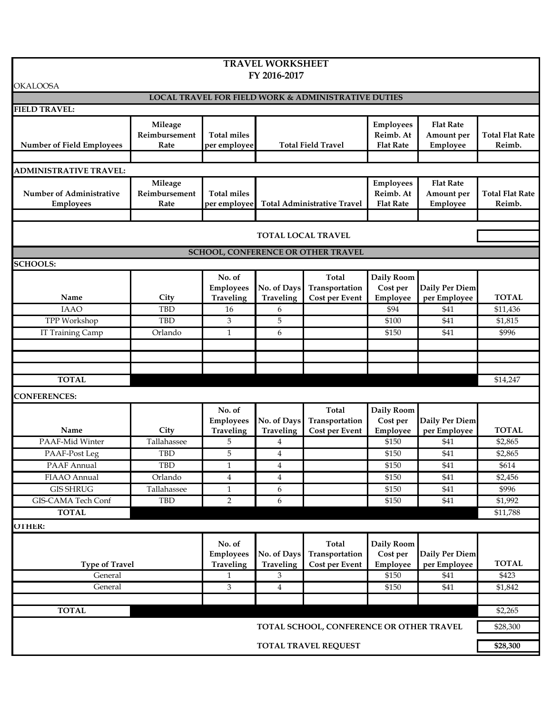| <b>TRAVEL WORKSHEET</b>                             |                                  |                                                |                                 |                                                         |                                                   |                                            |                                  |
|-----------------------------------------------------|----------------------------------|------------------------------------------------|---------------------------------|---------------------------------------------------------|---------------------------------------------------|--------------------------------------------|----------------------------------|
|                                                     |                                  |                                                | FY 2016-2017                    |                                                         |                                                   |                                            |                                  |
| <b>OKALOOSA</b>                                     |                                  |                                                |                                 | LOCAL TRAVEL FOR FIELD WORK & ADMINISTRATIVE DUTIES     |                                                   |                                            |                                  |
| <b>FIELD TRAVEL:</b>                                |                                  |                                                |                                 |                                                         |                                                   |                                            |                                  |
| <b>Number of Field Employees</b>                    | Mileage<br>Reimbursement<br>Rate | <b>Total miles</b><br>per employee             |                                 | <b>Total Field Travel</b>                               | <b>Employees</b><br>Reimb. At<br><b>Flat Rate</b> | <b>Flat Rate</b><br>Amount per<br>Employee | <b>Total Flat Rate</b><br>Reimb. |
| <b>ADMINISTRATIVE TRAVEL:</b>                       |                                  |                                                |                                 |                                                         |                                                   |                                            |                                  |
| <b>Number of Administrative</b><br><b>Employees</b> | Mileage<br>Reimbursement<br>Rate | <b>Total miles</b><br>per employee             |                                 | <b>Total Administrative Travel</b>                      | <b>Employees</b><br>Reimb. At<br><b>Flat Rate</b> | <b>Flat Rate</b><br>Amount per<br>Employee | <b>Total Flat Rate</b><br>Reimb. |
|                                                     |                                  |                                                |                                 |                                                         |                                                   |                                            |                                  |
|                                                     |                                  |                                                |                                 | <b>TOTAL LOCAL TRAVEL</b>                               |                                                   |                                            |                                  |
|                                                     |                                  |                                                |                                 | SCHOOL, CONFERENCE OR OTHER TRAVEL                      |                                                   |                                            |                                  |
| <b>SCHOOLS:</b>                                     |                                  |                                                |                                 |                                                         |                                                   |                                            |                                  |
| Name                                                | City                             | No. of<br><b>Employees</b><br>Traveling        | No. of Days<br>Traveling        | <b>Total</b><br>Transportation<br><b>Cost per Event</b> | Daily Room<br>Cost per<br>Employee                | Daily Per Diem<br>per Employee             | <b>TOTAL</b>                     |
| <b>IAAO</b>                                         | TBD                              | 16                                             | 6                               |                                                         | \$94                                              | \$41                                       | \$11,436                         |
| TPP Workshop                                        | <b>TBD</b>                       | 3                                              | 5                               |                                                         | \$100                                             | \$41                                       | \$1,815                          |
| IT Training Camp                                    | Orlando                          | $\mathbf{1}$                                   | 6                               |                                                         | \$150                                             | \$41                                       | \$996                            |
|                                                     |                                  |                                                |                                 |                                                         |                                                   |                                            |                                  |
|                                                     |                                  |                                                |                                 |                                                         |                                                   |                                            |                                  |
|                                                     |                                  |                                                |                                 |                                                         |                                                   |                                            |                                  |
| <b>TOTAL</b>                                        |                                  |                                                |                                 |                                                         | \$14,247                                          |                                            |                                  |
| <b>CONFERENCES:</b>                                 |                                  |                                                |                                 |                                                         |                                                   |                                            |                                  |
| Name                                                | City                             | No. of<br><b>Employees</b><br><b>Traveling</b> | No. of Days<br><b>Traveling</b> | Total<br>Transportation<br><b>Cost per Event</b>        | Daily Room<br>Cost per<br>Employee                | Daily Per Diem<br>per Employee             | <b>TOTAL</b>                     |
| PAAF-Mid Winter                                     | Tallahassee                      | 5                                              | 4                               |                                                         | \$150                                             | \$41                                       | \$2,865                          |
| PAAF-Post Leg                                       | <b>TBD</b>                       | 5                                              | 4                               |                                                         | \$150                                             | \$41                                       | \$2,865                          |
| PAAF Annual                                         | <b>TBD</b>                       | $\mathbf{1}$                                   | $\overline{4}$                  |                                                         | \$150                                             | \$41                                       | \$614                            |
| FIAAO Annual                                        | Orlando                          | $\overline{4}$                                 | 4                               |                                                         | \$150                                             | \$41                                       | \$2,456                          |
| <b>GIS SHRUG</b>                                    | Tallahassee                      | $\mathbf{1}$                                   | 6                               |                                                         | \$150                                             | \$41                                       | \$996                            |
| GIS-CAMA Tech Conf                                  | TBD                              | $\overline{2}$                                 | 6                               |                                                         | \$150                                             | \$41                                       | \$1,992                          |
| <b>TOTAL</b>                                        |                                  |                                                |                                 |                                                         |                                                   |                                            | \$11,788                         |
| <b>OTHER:</b>                                       |                                  |                                                |                                 |                                                         |                                                   |                                            |                                  |
| <b>Type of Travel</b>                               |                                  | No. of<br><b>Employees</b><br>Traveling        | No. of Days<br>Traveling        | <b>Total</b><br>Transportation<br><b>Cost per Event</b> | Daily Room<br>Cost per<br>Employee                | Daily Per Diem<br>per Employee             | <b>TOTAL</b>                     |
| General                                             |                                  | $\mathbf{1}$                                   | 3                               |                                                         | \$150                                             | \$41                                       | \$423                            |
| General                                             |                                  | $\mathfrak{Z}$                                 | $\overline{4}$                  |                                                         | \$150                                             | \$41                                       | \$1,842                          |
|                                                     |                                  |                                                |                                 |                                                         |                                                   |                                            |                                  |
| <b>TOTAL</b>                                        |                                  |                                                |                                 |                                                         |                                                   |                                            | \$2,265                          |
|                                                     |                                  |                                                |                                 | TOTAL SCHOOL, CONFERENCE OR OTHER TRAVEL                |                                                   |                                            | \$28,300                         |
|                                                     |                                  |                                                |                                 | <b>TOTAL TRAVEL REQUEST</b>                             |                                                   |                                            | \$28,300                         |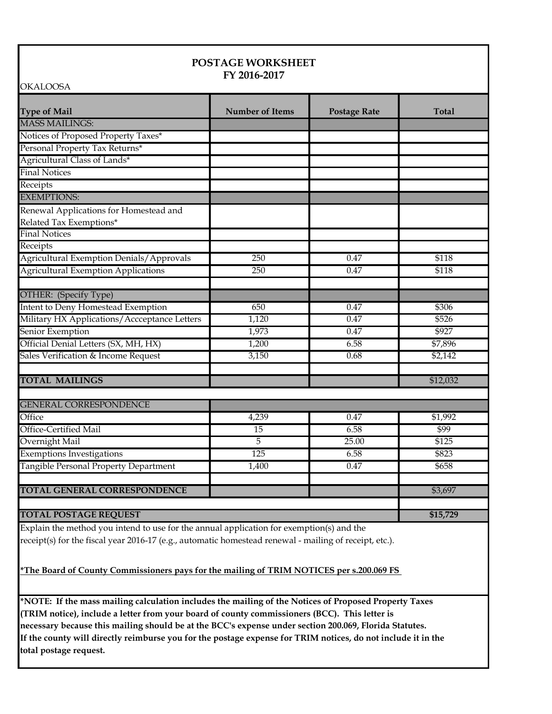| <b>Type of Mail</b>                             | <b>Number of Items</b> | <b>Postage Rate</b> | <b>Total</b> |
|-------------------------------------------------|------------------------|---------------------|--------------|
| <b>MASS MAILINGS:</b>                           |                        |                     |              |
| Notices of Proposed Property Taxes*             |                        |                     |              |
| Personal Property Tax Returns*                  |                        |                     |              |
| Agricultural Class of Lands*                    |                        |                     |              |
| <b>Final Notices</b>                            |                        |                     |              |
| Receipts                                        |                        |                     |              |
| <b>EXEMPTIONS:</b>                              |                        |                     |              |
| Renewal Applications for Homestead and          |                        |                     |              |
| Related Tax Exemptions*                         |                        |                     |              |
| <b>Final Notices</b>                            |                        |                     |              |
| Receipts                                        |                        |                     |              |
| <b>Agricultural Exemption Denials/Approvals</b> | 250                    | 0.47                | \$118        |
| <b>Agricultural Exemption Applications</b>      | 250                    | 0.47                | \$118        |
|                                                 |                        |                     |              |
| OTHER: (Specify Type)                           |                        |                     |              |
| Intent to Deny Homestead Exemption              | 650                    | 0.47                | \$306        |
| Military HX Applications/Accceptance Letters    | 1,120                  | 0.47                | \$526        |
| Senior Exemption                                | 1,973                  | 0.47                | \$927        |
| Official Denial Letters (SX, MH, HX)            | 1,200                  | 6.58                | \$7,896      |
| Sales Verification & Income Request             | 3,150                  | 0.68                | \$2,142      |
|                                                 |                        |                     |              |
| <b>TOTAL MAILINGS</b>                           |                        |                     | \$12,032     |
| <b>GENERAL CORRESPONDENCE</b>                   |                        |                     |              |
| Office                                          | 4,239                  | 0.47                | \$1,992      |
| Office-Certified Mail                           | 15                     | 6.58                | \$99         |
| Overnight Mail                                  | 5                      | 25.00               | \$125        |
| <b>Exemptions Investigations</b>                | 125                    | 6.58                | \$823        |
| Tangible Personal Property Department           | 1,400                  | 0.47                | \$658        |
|                                                 |                        |                     |              |
| <b>TOTAL GENERAL CORRESPONDENCE</b>             |                        |                     | \$3,697      |
|                                                 |                        |                     |              |
|                                                 |                        |                     |              |

Explain the method you intend to use for the annual application for exemption(s) and the receipt(s) for the fiscal year 2016-17 (e.g., automatic homestead renewal - mailing of receipt, etc.).

**\*The Board of County Commissioners pays for the mailing of TRIM NOTICES per s.200.069 FS** 

**\*NOTE: If the mass mailing calculation includes the mailing of the Notices of Proposed Property Taxes (TRIM notice), include a letter from your board of county commissioners (BCC). This letter is necessary because this mailing should be at the BCC's expense under section 200.069, Florida Statutes. If the county will directly reimburse you for the postage expense for TRIM notices, do not include it in the total postage request.**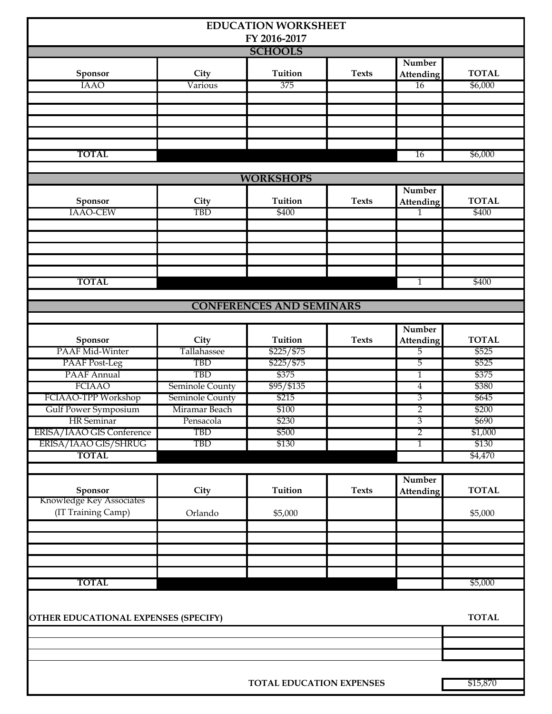|                                                |                 | <b>EDUCATION WORKSHEET</b><br>FY 2016-2017 |              |                            |                       |
|------------------------------------------------|-----------------|--------------------------------------------|--------------|----------------------------|-----------------------|
|                                                |                 | <b>SCHOOLS</b>                             |              |                            |                       |
| Sponsor                                        | City            | <b>Tuition</b>                             | <b>Texts</b> | Number<br><b>Attending</b> | <b>TOTAL</b>          |
| <b>IAAO</b>                                    | Various         | 375                                        |              | 16                         | \$6,000               |
|                                                |                 |                                            |              |                            |                       |
| <b>TOTAL</b>                                   |                 |                                            |              | 16                         | \$6,000               |
|                                                |                 | <b>WORKSHOPS</b>                           |              |                            |                       |
|                                                |                 |                                            |              | Number                     |                       |
| Sponsor<br>IAAO-CEW                            | City<br>TBD     | <b>Tuition</b><br>\$400                    | <b>Texts</b> | <b>Attending</b><br>1      | <b>TOTAL</b><br>\$400 |
|                                                |                 |                                            |              |                            |                       |
|                                                |                 |                                            |              |                            |                       |
|                                                |                 |                                            |              |                            |                       |
|                                                |                 |                                            |              |                            |                       |
|                                                |                 |                                            |              |                            |                       |
| <b>TOTAL</b>                                   |                 |                                            |              | $\mathbf{1}$               | \$400                 |
|                                                |                 |                                            |              |                            |                       |
|                                                |                 | <b>CONFERENCES AND SEMINARS</b>            |              |                            |                       |
|                                                |                 |                                            |              |                            |                       |
|                                                |                 |                                            |              | Number                     |                       |
| Sponsor                                        | City            | Tuition                                    | <b>Texts</b> | <b>Attending</b>           | <b>TOTAL</b>          |
| PAAF Mid-Winter                                | Tallahassee     | \$225/\$75                                 |              | 5                          | \$525                 |
| PAAF Post-Leg                                  | <b>TBD</b>      | \$225/\$75                                 |              | 5                          | \$525                 |
| PAAF Annual                                    | <b>TBD</b>      | \$375                                      | 1            |                            | \$375                 |
| <b>FCIAAO</b>                                  | Seminole County | \$95/\$135                                 |              | 4                          | \$380                 |
| FCIAAO-TPP Workshop                            | Seminole County | \$215                                      |              | 3                          | \$645                 |
| Gulf Power Symposium                           | Miramar Beach   | \$100                                      |              | $\overline{2}$             | \$200                 |
| <b>HR</b> Seminar                              | Pensacola       | \$230                                      |              | 3                          | \$690                 |
| ERISA/IAAO GIS Conference                      | <b>TBD</b>      | \$500                                      |              | $\overline{2}$             | \$1,000               |
| ERISA/IAAO GIS/SHRUG                           | TBD             | \$130                                      |              | 1                          | \$130                 |
| <b>TOTAL</b>                                   |                 |                                            |              |                            | \$4,470               |
|                                                |                 |                                            |              |                            |                       |
| Sponsor                                        | City            | Tuition                                    | <b>Texts</b> | Number<br><b>Attending</b> | <b>TOTAL</b>          |
| Knowledge Key Associates<br>(IT Training Camp) | Orlando         | \$5,000                                    |              |                            | \$5,000               |
|                                                |                 |                                            |              |                            |                       |
|                                                |                 |                                            |              |                            |                       |
|                                                |                 |                                            |              |                            |                       |
|                                                |                 |                                            |              |                            |                       |
| <b>TOTAL</b>                                   |                 |                                            |              |                            | \$5,000               |
|                                                |                 |                                            |              |                            |                       |
| OTHER EDUCATIONAL EXPENSES (SPECIFY)           |                 |                                            |              |                            | <b>TOTAL</b>          |
|                                                |                 |                                            |              |                            |                       |
|                                                |                 |                                            |              |                            |                       |
|                                                |                 |                                            |              |                            |                       |
|                                                |                 |                                            |              |                            |                       |
| <b>TOTAL EDUCATION EXPENSES</b>                |                 |                                            |              |                            | \$15,870              |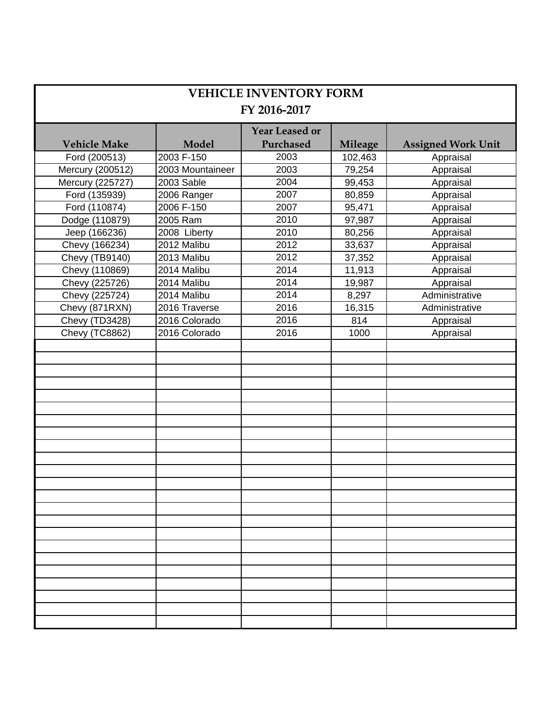| <b>VEHICLE INVENTORY FORM</b><br>FY 2016-2017 |                  |                                    |                |                           |  |  |
|-----------------------------------------------|------------------|------------------------------------|----------------|---------------------------|--|--|
| <b>Vehicle Make</b>                           | <b>Model</b>     | <b>Year Leased or</b><br>Purchased | <b>Mileage</b> | <b>Assigned Work Unit</b> |  |  |
| Ford (200513)                                 | 2003 F-150       | 2003                               | 102,463        | Appraisal                 |  |  |
| Mercury (200512)                              | 2003 Mountaineer | 2003                               | 79,254         | Appraisal                 |  |  |
| Mercury (225727)                              | 2003 Sable       | 2004                               | 99,453         | Appraisal                 |  |  |
| Ford (135939)                                 | 2006 Ranger      | 2007                               | 80,859         | Appraisal                 |  |  |
| Ford (110874)                                 | 2006 F-150       | 2007                               | 95,471         | Appraisal                 |  |  |
| Dodge (110879)                                | 2005 Ram         | 2010                               | 97,987         | Appraisal                 |  |  |
| Jeep (166236)                                 | 2008 Liberty     | 2010                               | 80,256         | Appraisal                 |  |  |
| Chevy (166234)                                | 2012 Malibu      | 2012                               | 33,637         | Appraisal                 |  |  |
| Chevy (TB9140)                                | 2013 Malibu      | 2012                               | 37,352         | Appraisal                 |  |  |
| Chevy (110869)                                | 2014 Malibu      | 2014                               | 11,913         | Appraisal                 |  |  |
| Chevy (225726)                                | 2014 Malibu      | 2014                               | 19,987         | Appraisal                 |  |  |
| Chevy (225724)                                | 2014 Malibu      | 2014                               | 8,297          | Administrative            |  |  |
| Chevy (871RXN)                                | 2016 Traverse    | 2016                               | 16,315         | Administrative            |  |  |
| Chevy (TD3428)                                | 2016 Colorado    | 2016                               | 814            | Appraisal                 |  |  |
| Chevy (TC8862)                                | 2016 Colorado    | 2016                               | 1000           | Appraisal                 |  |  |
|                                               |                  |                                    |                |                           |  |  |
|                                               |                  |                                    |                |                           |  |  |
|                                               |                  |                                    |                |                           |  |  |
|                                               |                  |                                    |                |                           |  |  |
|                                               |                  |                                    |                |                           |  |  |
|                                               |                  |                                    |                |                           |  |  |
|                                               |                  |                                    |                |                           |  |  |
|                                               |                  |                                    |                |                           |  |  |
|                                               |                  |                                    |                |                           |  |  |
|                                               |                  |                                    |                |                           |  |  |
|                                               |                  |                                    |                |                           |  |  |
|                                               |                  |                                    |                |                           |  |  |
|                                               |                  |                                    |                |                           |  |  |
|                                               |                  |                                    |                |                           |  |  |
|                                               |                  |                                    |                |                           |  |  |
|                                               |                  |                                    |                |                           |  |  |
|                                               |                  |                                    |                |                           |  |  |
|                                               |                  |                                    |                |                           |  |  |
|                                               |                  |                                    |                |                           |  |  |
|                                               |                  |                                    |                |                           |  |  |
|                                               |                  |                                    |                |                           |  |  |
|                                               |                  |                                    |                |                           |  |  |
|                                               |                  |                                    |                |                           |  |  |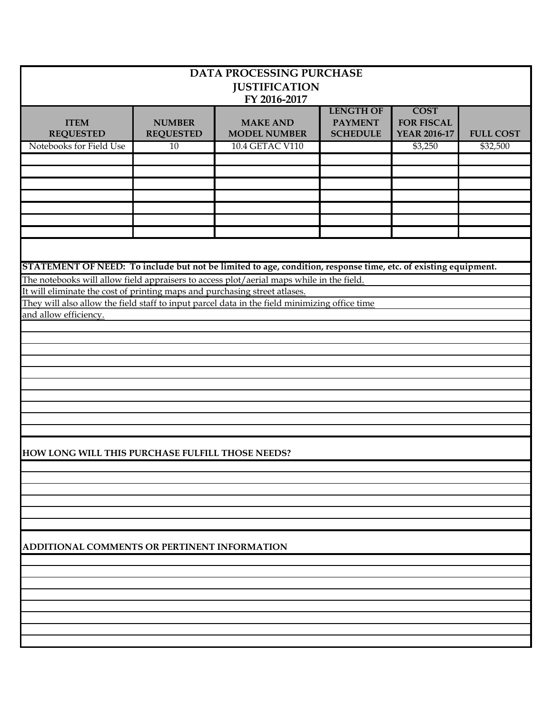| <b>DATA PROCESSING PURCHASE</b><br><b>JUSTIFICATION</b><br>FY 2016-2017                                                                                                                                                                                                                                                                                                                                                                                                                                                       |                                   |                                        |                                                       |                                                         |                  |  |  |
|-------------------------------------------------------------------------------------------------------------------------------------------------------------------------------------------------------------------------------------------------------------------------------------------------------------------------------------------------------------------------------------------------------------------------------------------------------------------------------------------------------------------------------|-----------------------------------|----------------------------------------|-------------------------------------------------------|---------------------------------------------------------|------------------|--|--|
| <b>ITEM</b><br><b>REQUESTED</b>                                                                                                                                                                                                                                                                                                                                                                                                                                                                                               | <b>NUMBER</b><br><b>REQUESTED</b> | <b>MAKE AND</b><br><b>MODEL NUMBER</b> | <b>LENGTH OF</b><br><b>PAYMENT</b><br><b>SCHEDULE</b> | <b>COST</b><br><b>FOR FISCAL</b><br><b>YEAR 2016-17</b> | <b>FULL COST</b> |  |  |
| Notebooks for Field Use                                                                                                                                                                                                                                                                                                                                                                                                                                                                                                       | 10                                | 10.4 GETAC V110                        |                                                       | \$3,250                                                 | \$32,500         |  |  |
|                                                                                                                                                                                                                                                                                                                                                                                                                                                                                                                               |                                   |                                        |                                                       |                                                         |                  |  |  |
|                                                                                                                                                                                                                                                                                                                                                                                                                                                                                                                               |                                   |                                        |                                                       |                                                         |                  |  |  |
|                                                                                                                                                                                                                                                                                                                                                                                                                                                                                                                               |                                   |                                        |                                                       |                                                         |                  |  |  |
|                                                                                                                                                                                                                                                                                                                                                                                                                                                                                                                               |                                   |                                        |                                                       |                                                         |                  |  |  |
|                                                                                                                                                                                                                                                                                                                                                                                                                                                                                                                               |                                   |                                        |                                                       |                                                         |                  |  |  |
|                                                                                                                                                                                                                                                                                                                                                                                                                                                                                                                               |                                   |                                        |                                                       |                                                         |                  |  |  |
| STATEMENT OF NEED: To include but not be limited to age, condition, response time, etc. of existing equipment.<br>The notebooks will allow field appraisers to access plot/aerial maps while in the field.<br>It will eliminate the cost of printing maps and purchasing street atlases.<br>They will also allow the field staff to input parcel data in the field minimizing office time<br>and allow efficiency.<br>HOW LONG WILL THIS PURCHASE FULFILL THOSE NEEDS?<br><b>ADDITIONAL COMMENTS OR PERTINENT INFORMATION</b> |                                   |                                        |                                                       |                                                         |                  |  |  |
|                                                                                                                                                                                                                                                                                                                                                                                                                                                                                                                               |                                   |                                        |                                                       |                                                         |                  |  |  |
|                                                                                                                                                                                                                                                                                                                                                                                                                                                                                                                               |                                   |                                        |                                                       |                                                         |                  |  |  |
|                                                                                                                                                                                                                                                                                                                                                                                                                                                                                                                               |                                   |                                        |                                                       |                                                         |                  |  |  |
|                                                                                                                                                                                                                                                                                                                                                                                                                                                                                                                               |                                   |                                        |                                                       |                                                         |                  |  |  |
|                                                                                                                                                                                                                                                                                                                                                                                                                                                                                                                               |                                   |                                        |                                                       |                                                         |                  |  |  |
|                                                                                                                                                                                                                                                                                                                                                                                                                                                                                                                               |                                   |                                        |                                                       |                                                         |                  |  |  |
|                                                                                                                                                                                                                                                                                                                                                                                                                                                                                                                               |                                   |                                        |                                                       |                                                         |                  |  |  |